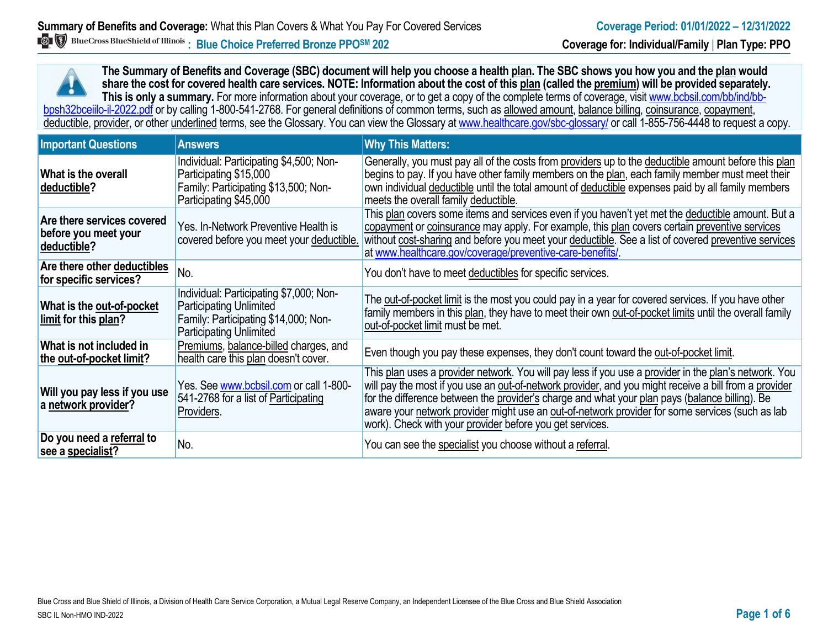**The Summary of Benefits and Coverage (SBC) document will help you choose a health plan. The SBC shows you how you and the plan would share the cost for covered health care services. NOTE: Information about the cost of this plan (called the premium) will be provided separately.** This is only a summary. For more information about your coverage, or to get a copy of the complete terms of coverage, visit www.bcbsil.com/bb/ind/bbbpsh32bceiilo-il-2022.pdf or by calling 1-800-541-2768. For general definitions of common terms, such as allowed amount, balance billing, coinsurance, copayment, deductible, provider, or other underlined terms, see the Glossary. You can view the Glossary a[t www.healthcare.gov/sbc-glossary/](http://www.healthcare.gov/sbc-glossary/) or call 1-855-756-4448 to request a copy.

| <b>Important Questions</b>                                        | <b>Answers</b>                                                                                                                                      | <b>Why This Matters:</b>                                                                                                                                                                                                                                                                                                                                                                                                                                                        |
|-------------------------------------------------------------------|-----------------------------------------------------------------------------------------------------------------------------------------------------|---------------------------------------------------------------------------------------------------------------------------------------------------------------------------------------------------------------------------------------------------------------------------------------------------------------------------------------------------------------------------------------------------------------------------------------------------------------------------------|
| What is the overall<br>deductible?                                | Individual: Participating \$4,500; Non-<br>Participating \$15,000<br>Family: Participating \$13,500; Non-<br>Participating \$45,000                 | Generally, you must pay all of the costs from providers up to the deductible amount before this plan<br>begins to pay. If you have other family members on the plan, each family member must meet their<br>own individual deductible until the total amount of deductible expenses paid by all family members<br>meets the overall family deductible.                                                                                                                           |
| Are there services covered<br>before you meet your<br>deductible? | Yes. In-Network Preventive Health is<br>covered before you meet your deductible.                                                                    | This plan covers some items and services even if you haven't yet met the deductible amount. But a<br>copayment or coinsurance may apply. For example, this plan covers certain preventive services<br>without cost-sharing and before you meet your deductible. See a list of covered preventive services<br>at www.healthcare.gov/coverage/preventive-care-benefits/                                                                                                           |
| Are there other deductibles<br>for specific services?             | No.                                                                                                                                                 | You don't have to meet deductibles for specific services.                                                                                                                                                                                                                                                                                                                                                                                                                       |
| What is the out-of-pocket<br>limit for this plan?                 | Individual: Participating \$7,000; Non-<br><b>Participating Unlimited</b><br>Family: Participating \$14,000; Non-<br><b>Participating Unlimited</b> | The out-of-pocket limit is the most you could pay in a year for covered services. If you have other<br>family members in this plan, they have to meet their own out-of-pocket limits until the overall family<br>out-of-pocket limit must be met.                                                                                                                                                                                                                               |
| What is not included in<br>the out-of-pocket limit?               | Premiums, balance-billed charges, and<br>health care this plan doesn't cover.                                                                       | Even though you pay these expenses, they don't count toward the out-of-pocket limit.                                                                                                                                                                                                                                                                                                                                                                                            |
| Will you pay less if you use<br>a network provider?               | Yes. See www.bcbsil.com or call 1-800-<br>541-2768 for a list of Participating<br>Providers.                                                        | This plan uses a provider network. You will pay less if you use a provider in the plan's network. You<br>will pay the most if you use an out-of-network provider, and you might receive a bill from a provider<br>for the difference between the provider's charge and what your plan pays (balance billing). Be<br>aware your network provider might use an out-of-network provider for some services (such as lab<br>work). Check with your provider before you get services. |
| Do you need a referral to<br>see a specialist?                    | No.                                                                                                                                                 | You can see the specialist you choose without a referral.                                                                                                                                                                                                                                                                                                                                                                                                                       |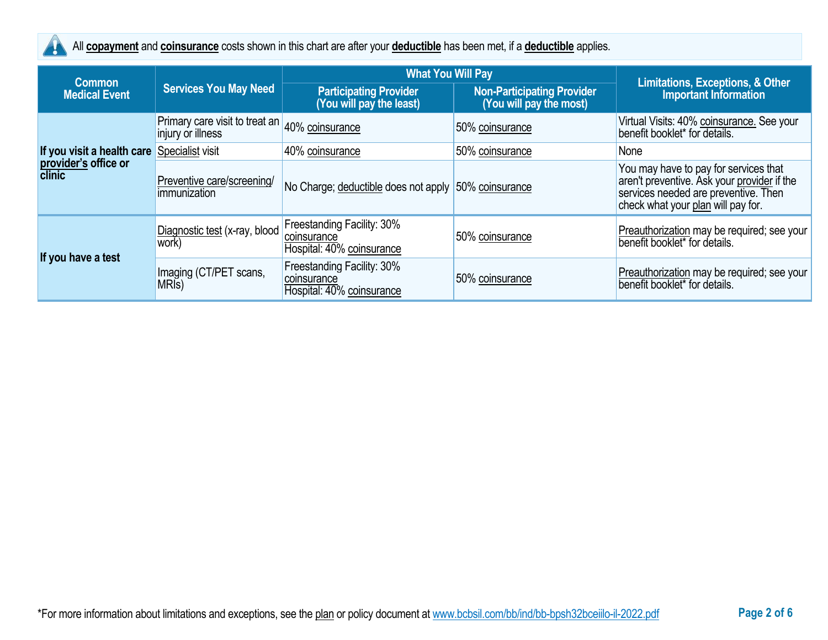

All **copayment** and **coinsurance** costs shown in this chart are after your **deductible** has been met, if a **deductible** applies.

|                                       |                                                                     | <b>What You Will Pay</b>                                               |                                                              |                                                                                                                                                                    |  |
|---------------------------------------|---------------------------------------------------------------------|------------------------------------------------------------------------|--------------------------------------------------------------|--------------------------------------------------------------------------------------------------------------------------------------------------------------------|--|
| <b>Common</b><br><b>Medical Event</b> | <b>Services You May Need</b>                                        | <b>Participating Provider</b><br>(You will pay the least)              | <b>Non-Participating Provider</b><br>(You will pay the most) | <b>Limitations, Exceptions, &amp; Other</b><br><b>Important Information</b>                                                                                        |  |
|                                       | Primary care visit to treat an 40% coinsurance<br>injury or illness |                                                                        | 50% coinsurance                                              | Virtual Visits: 40% coinsurance. See your<br>benefit booklet* for details.                                                                                         |  |
| If you visit a health care            | Specialist visit                                                    | 40% coinsurance                                                        | 50% coinsurance                                              | None                                                                                                                                                               |  |
| provider's office or<br>clinic        | Preventive care/screening/<br>immunization                          | No Charge; deductible does not apply 50% coinsurance                   |                                                              | You may have to pay for services that<br>aren't preventive. Ask your provider if the<br>services needed are preventive. Then<br>check what your plan will pay for. |  |
| If you have a test                    | Diagnostic test (x-ray, blood<br>work)                              | Freestanding Facility: 30%<br>coinsurance<br>Hospital: 40% coinsurance | 50% coinsurance                                              | Preauthorization may be required; see your<br>benefit booklet* for details.                                                                                        |  |
|                                       | Imaging (CT/PET scans,<br>MRI <sub>s</sub> )                        | Freestanding Facility: 30%<br>coinsurance<br>Hospital: 40% coinsurance | 50% coinsurance                                              | Preauthorization may be required; see your<br>benefit booklet* for details.                                                                                        |  |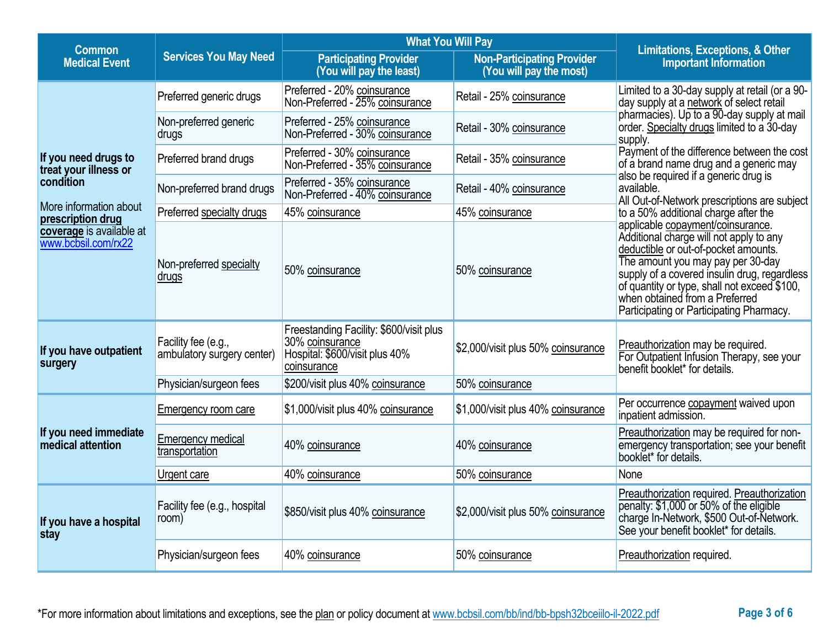| <b>Common</b>                                   |                                                   | <b>What You Will Pay</b>                                                                                    | <b>Limitations, Exceptions, &amp; Other</b>                  |                                                                                                                                                                                                                                                                                                                                         |  |  |
|-------------------------------------------------|---------------------------------------------------|-------------------------------------------------------------------------------------------------------------|--------------------------------------------------------------|-----------------------------------------------------------------------------------------------------------------------------------------------------------------------------------------------------------------------------------------------------------------------------------------------------------------------------------------|--|--|
| <b>Medical Event</b>                            | <b>Services You May Need</b>                      | <b>Participating Provider</b><br>(You will pay the least)                                                   | <b>Non-Participating Provider</b><br>(You will pay the most) |                                                                                                                                                                                                                                                                                                                                         |  |  |
|                                                 | Preferred generic drugs                           | Preferred - 20% coinsurance<br>Non-Preferred - 25% coinsurance                                              | Retail - 25% coinsurance                                     | Limited to a 30-day supply at retail (or a 90-<br>day supply at a network of select retail                                                                                                                                                                                                                                              |  |  |
|                                                 | Non-preferred generic<br>drugs                    | Preferred - 25% coinsurance<br>Non-Preferred - 30% coinsurance                                              | Retail - 30% coinsurance                                     | pharmacies). Up to a 90-day supply at mail<br>order. Specialty drugs limited to a 30-day<br>supply.                                                                                                                                                                                                                                     |  |  |
| If you need drugs to<br>treat your illness or   | Preferred brand drugs                             | Preferred - 30% coinsurance<br>Non-Preferred - 35% coinsurance                                              | Retail - 35% coinsurance                                     | Payment of the difference between the cost<br>of a brand name drug and a generic may                                                                                                                                                                                                                                                    |  |  |
| condition                                       | Non-preferred brand drugs                         | Preferred - 35% coinsurance<br>Non-Preferred - 40% coinsurance                                              | Retail - 40% coinsurance                                     | also be required if a generic drug is<br>available.<br>All Out-of-Network prescriptions are subject                                                                                                                                                                                                                                     |  |  |
| More information about<br>prescription drug     | Preferred specialty drugs                         | 45% coinsurance                                                                                             | 45% coinsurance                                              | to a 50% additional charge after the                                                                                                                                                                                                                                                                                                    |  |  |
| coverage is available at<br>www.bcbsil.com/rx22 | Non-preferred specialty<br><u>drugs</u>           | 50% coinsurance                                                                                             | 50% coinsurance                                              | applicable copayment/coinsurance.<br>Additional charge will not apply to any<br>deductible or out-of-pocket amounts.<br>The amount you may pay per 30-day<br>supply of a covered insulin drug, regardless<br>of quantity or type, shall not exceed \$100,<br>when obtained from a Preferred<br>Participating or Participating Pharmacy. |  |  |
| If you have outpatient<br>surgery               | Facility fee (e.g.,<br>ambulatory surgery center) | Freestanding Facility: \$600/visit plus<br>30% coinsurance<br>Hospital: \$600/visit plus 40%<br>coinsurance | \$2,000/visit plus 50% coinsurance                           | Preauthorization may be required.<br>For Outpatient Infusion Therapy, see your<br>benefit booklet* for details.                                                                                                                                                                                                                         |  |  |
|                                                 | Physician/surgeon fees                            | \$200/visit plus 40% coinsurance<br>50% coinsurance                                                         |                                                              |                                                                                                                                                                                                                                                                                                                                         |  |  |
|                                                 | Emergency room care                               | \$1,000/visit plus 40% coinsurance                                                                          | \$1,000/visit plus 40% coinsurance                           | Per occurrence copayment waived upon<br>inpatient admission.                                                                                                                                                                                                                                                                            |  |  |
| If you need immediate<br>medical attention      | <b>Emergency medical</b><br>transportation        | 40% coinsurance                                                                                             | 40% coinsurance                                              | Preauthorization may be required for non-<br>emergency transportation; see your benefit<br>booklet* for details.                                                                                                                                                                                                                        |  |  |
|                                                 | Urgent care                                       | 40% coinsurance                                                                                             | 50% coinsurance                                              | None                                                                                                                                                                                                                                                                                                                                    |  |  |
| If you have a hospital<br>stay                  | Facility fee (e.g., hospital<br>room)             | \$850/visit plus 40% coinsurance                                                                            | \$2,000/visit plus 50% coinsurance                           | Preauthorization required. Preauthorization<br>penalty: \$1,000 or 50% of the eligible<br>charge In-Network, \$500 Out-of-Network.<br>See your benefit booklet* for details.                                                                                                                                                            |  |  |
|                                                 | Physician/surgeon fees<br>40% coinsurance         |                                                                                                             | 50% coinsurance                                              | Preauthorization required.                                                                                                                                                                                                                                                                                                              |  |  |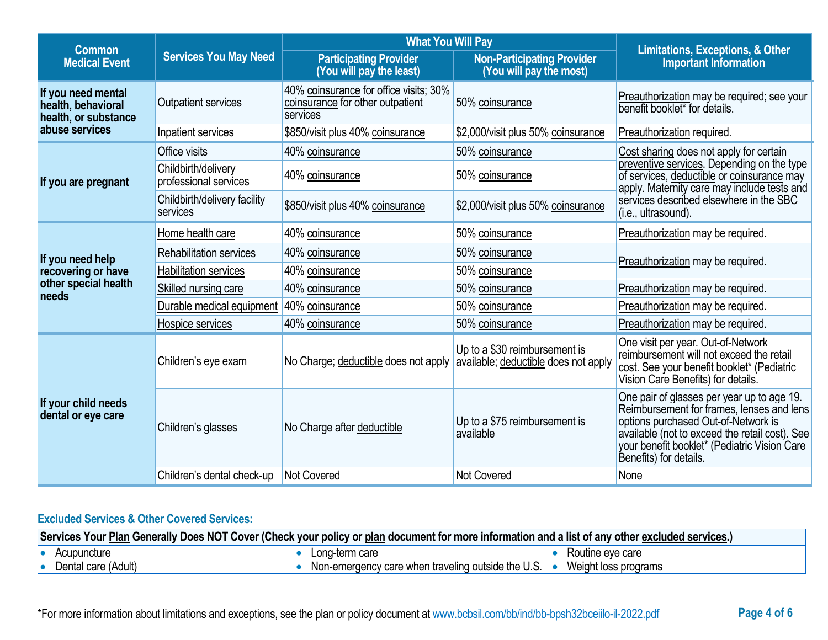| <b>Common</b>                                                    |                                              | <b>What You Will Pay</b>                                                               | <b>Limitations, Exceptions, &amp; Other</b>                           |                                                                                                                                                                                                                                                            |  |
|------------------------------------------------------------------|----------------------------------------------|----------------------------------------------------------------------------------------|-----------------------------------------------------------------------|------------------------------------------------------------------------------------------------------------------------------------------------------------------------------------------------------------------------------------------------------------|--|
| <b>Medical Event</b>                                             | <b>Services You May Need</b>                 | <b>Participating Provider</b><br>(You will pay the least)                              | <b>Non-Participating Provider</b><br>(You will pay the most)          | <b>Important Information</b>                                                                                                                                                                                                                               |  |
| If you need mental<br>health, behavioral<br>health, or substance | <b>Outpatient services</b>                   | 40% coinsurance for office visits; 30%<br>coinsurance for other outpatient<br>services | 50% coinsurance                                                       | Preauthorization may be required; see your<br>benefit booklet* for details.                                                                                                                                                                                |  |
| abuse services                                                   | Inpatient services                           | \$850/visit plus 40% coinsurance                                                       | \$2,000/visit plus 50% coinsurance                                    | Preauthorization required.                                                                                                                                                                                                                                 |  |
|                                                                  | Office visits                                | 40% coinsurance                                                                        | 50% coinsurance                                                       | Cost sharing does not apply for certain                                                                                                                                                                                                                    |  |
| If you are pregnant                                              | Childbirth/delivery<br>professional services | 40% coinsurance                                                                        | 50% coinsurance                                                       | preventive services. Depending on the type<br>of services, deductible or coinsurance may<br>apply. Maternity care may include tests and                                                                                                                    |  |
|                                                                  | Childbirth/delivery facility<br>services     | \$850/visit plus 40% coinsurance                                                       | \$2,000/visit plus 50% coinsurance                                    | services described elsewhere in the SBC<br>(i.e., ultrasound).                                                                                                                                                                                             |  |
|                                                                  | Home health care                             | 40% coinsurance                                                                        | 50% coinsurance                                                       | Preauthorization may be required.                                                                                                                                                                                                                          |  |
| If you need help                                                 | <b>Rehabilitation services</b>               | 40% coinsurance                                                                        | 50% coinsurance                                                       | Preauthorization may be required.                                                                                                                                                                                                                          |  |
| recovering or have                                               | <b>Habilitation services</b>                 | 40% coinsurance                                                                        | 50% coinsurance                                                       |                                                                                                                                                                                                                                                            |  |
| other special health<br>needs                                    | Skilled nursing care                         | 40% coinsurance                                                                        | 50% coinsurance                                                       | Preauthorization may be required.                                                                                                                                                                                                                          |  |
|                                                                  | Durable medical equipment                    | 40% coinsurance                                                                        | 50% coinsurance                                                       | Preauthorization may be required.                                                                                                                                                                                                                          |  |
|                                                                  | Hospice services                             | 40% coinsurance                                                                        | 50% coinsurance                                                       | Preauthorization may be required.                                                                                                                                                                                                                          |  |
|                                                                  | Children's eye exam                          | No Charge; deductible does not apply                                                   | Up to a \$30 reimbursement is<br>available; deductible does not apply | One visit per year. Out-of-Network<br>reimbursement will not exceed the retail<br>cost. See your benefit booklet* (Pediatric<br>Vision Care Benefits) for details.                                                                                         |  |
| If your child needs<br>dental or eye care                        | Children's glasses                           | No Charge after deductible                                                             | Up to a \$75 reimbursement is<br>available                            | One pair of glasses per year up to age 19.<br>Reimbursement for frames, lenses and lens<br>options purchased Out-of-Network is<br>available (not to exceed the retail cost). See<br>your benefit booklet* (Pediatric Vision Care<br>Benefits) for details. |  |
|                                                                  | Children's dental check-up                   | Not Covered                                                                            | Not Covered                                                           | None                                                                                                                                                                                                                                                       |  |

# **Excluded Services & Other Covered Services:**

| Services Your Plan Generally Does NOT Cover (Check your policy or plan document for more information and a list of any other excluded services.) |  |                                                    |  |                      |
|--------------------------------------------------------------------------------------------------------------------------------------------------|--|----------------------------------------------------|--|----------------------|
| Acupuncture                                                                                                                                      |  | Long-term care                                     |  | Routine eve care     |
| Dental care (Adult)                                                                                                                              |  | Non-emergency care when traveling outside the U.S. |  | Weight loss programs |

\*For more information about limitations and exceptions, see the plan or policy document at www.bcbsil.com/bb/ind/bb-bpsh32bceiilo-il-2022.pdf **Page 4 of 6**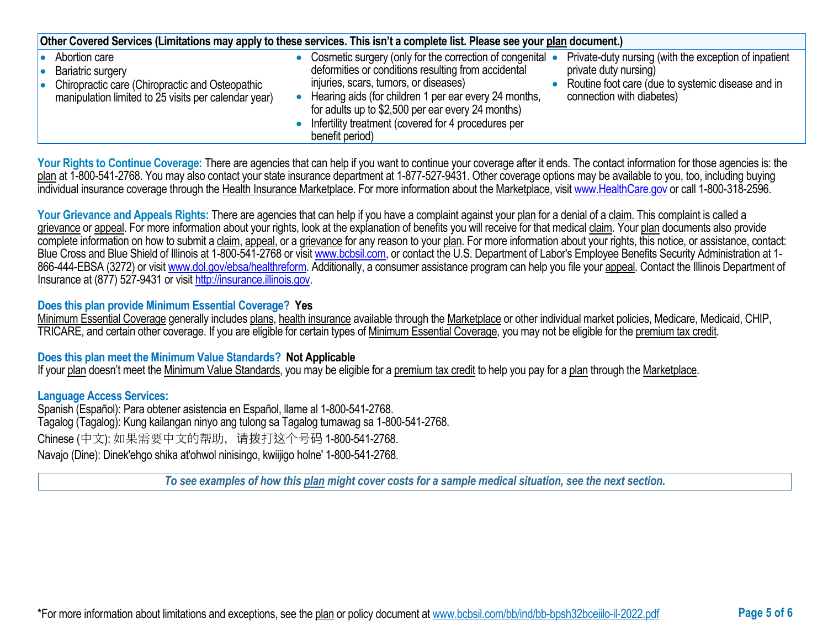| Other Covered Services (Limitations may apply to these services. This isn't a complete list. Please see your plan document.)                         |  |                                                                                                                                                                                                                                                                                                                                                   |  |                                                                                                                                                                  |
|------------------------------------------------------------------------------------------------------------------------------------------------------|--|---------------------------------------------------------------------------------------------------------------------------------------------------------------------------------------------------------------------------------------------------------------------------------------------------------------------------------------------------|--|------------------------------------------------------------------------------------------------------------------------------------------------------------------|
| Abortion care<br><b>Bariatric surgery</b><br>Chiropractic care (Chiropractic and Osteopathic<br>manipulation limited to 25 visits per calendar year) |  | Cosmetic surgery (only for the correction of congenital •<br>deformities or conditions resulting from accidental<br>injuries, scars, tumors, or diseases)<br>Hearing aids (for children 1 per ear every 24 months,<br>for adults up to \$2,500 per ear every 24 months)<br>Infertility treatment (covered for 4 procedures per<br>benefit period) |  | Private-duty nursing (with the exception of inpatient<br>private duty nursing)<br>Routine foot care (due to systemic disease and in<br>connection with diabetes) |

Your Rights to Continue Coverage: There are agencies that can help if you want to continue your coverage after it ends. The contact information for those agencies is: the plan at 1-800-541-2768. You may also contact your state insurance department at 1-877-527-9431. Other coverage options may be available to you, too, including buying individual insurance coverage through the Health Insurance Marketplace. For more information about the Marketplace, visi[t www.HealthCare.gov](http://www.healthcare.gov/) or call 1-800-318-2596.

Your Grievance and Appeals Rights: There are agencies that can help if you have a complaint against your plan for a denial of a claim. This complaint is called a grievance or appeal. For more information about your rights, look at the explanation of benefits you will receive for that medical claim. Your plan documents also provide complete information on how to submit a claim, appeal, or a grievance for any reason to your plan. For more information about your rights, this notice, or assistance, contact: Blue Cross and Blue Shield of Illinois at 1-800-541-2768 or visit [www.bcbsil.com,](http://www.bcbsil.com/) or contact the U.S. Department of Labor's Employee Benefits Security Administration at 1866-444-EBSA (3272) or visit [www.dol.gov/ebsa/healthreform.](http://www.dol.gov/ebsa/healthreform) Additionally, a consumer assistance program can help you file your appeal. Contact the Illinois Department of Insurance at (877) 527-9431 or visi[t http://insurance.illinois.gov.](http://insurance.illinois.gov/)

### **Does this plan provide Minimum Essential Coverage? Yes**

Minimum Essential Coverage generally includes plans, health insurance available through the Marketplace or other individual market policies, Medicare, Medicaid, CHIP, TRICARE, and certain other coverage. If you are eligible for certain types of Minimum Essential Coverage, you may not be eligible for the premium tax credit.

#### **Does this plan meet the Minimum Value Standards? Not Applicable**

If your plan doesn't meet the Minimum Value Standards, you may be eligible for a premium tax credit to help you pay for a plan through the Marketplace.

#### **Language Access Services:**

Spanish (Español): Para obtener asistencia en Español, llame al 1-800-541-2768. Tagalog (Tagalog): Kung kailangan ninyo ang tulong sa Tagalog tumawag sa 1-800-541-2768. Chinese (中文): 如果需要中文的帮助,请拨打这个号码 1-800-541-2768. Navajo (Dine): Dinek'ehgo shika at'ohwol ninisingo, kwiijigo holne' 1-800-541-2768.

*To see examples of how this plan might cover costs for a sample medical situation, see the next section.*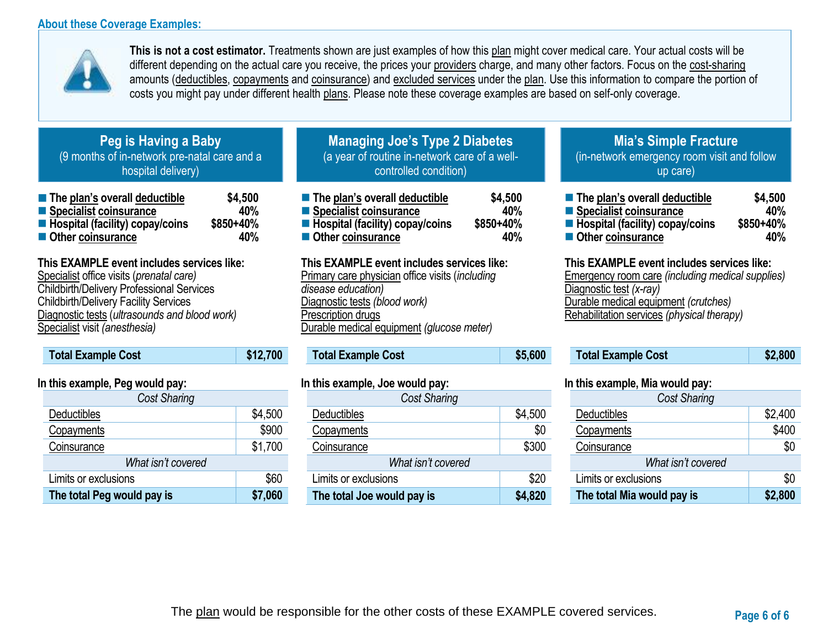### **About these Coverage Examples:**



**This is not a cost estimator.** Treatments shown are just examples of how this plan might cover medical care. Your actual costs will be different depending on the actual care you receive, the prices your providers charge, and many other factors. Focus on the cost-sharing amounts (deductibles, copayments and coinsurance) and excluded services under the plan. Use this information to compare the portion of costs you might pay under different health plans. Please note these coverage examples are based on self-only coverage.

# **Peg is Having a Baby** (9 months of in-network pre-natal care and a hospital delivery)

| ■ The plan's overall deductible   | \$4,500   |
|-----------------------------------|-----------|
| ■ Specialist coinsurance          | 40%       |
| ■ Hospital (facility) copay/coins | \$850+40% |
| Other coinsurance                 | 40%       |

## **This EXAMPLE event includes services like:**

Specialist office visits (*prenatal care)* Childbirth/Delivery Professional Services Childbirth/Delivery Facility Services Diagnostic tests (*ultrasounds and blood work)* Specialist visit *(anesthesia)* 

# **Total Example Cost \$12,700**

### **In this example, Peg would pay:**

| <b>Cost Sharing</b>        |         |
|----------------------------|---------|
| Deductibles                | \$4,500 |
| Copayments                 | \$900   |
| Coinsurance                | \$1,700 |
| What isn't covered         |         |
| Limits or exclusions       | \$60    |
| The total Peg would pay is | \$7,060 |

# **Managing Joe's Type 2 Diabetes** (a year of routine in-network care of a wellcontrolled condition)

| ■ The plan's overall deductible   | \$4,500   |
|-----------------------------------|-----------|
| ■ Specialist coinsurance          | 40%       |
| ■ Hospital (facility) copay/coins | \$850+40% |
| Other coinsurance                 | 40%       |

### **This EXAMPLE event includes services like:**

Primary care physician office visits (*including disease education)* Diagnostic tests *(blood work)* Prescription drugs Durable medical equipment *(glucose meter)* 

## **Total Example Cost \$5,600**

### **In this example, Joe would pay:**

| Cost Sharing               |         |
|----------------------------|---------|
| Deductibles                | \$4,500 |
| Copayments                 | \$0     |
| Coinsurance                | \$300   |
| What isn't covered         |         |
| Limits or exclusions       | \$20    |
| The total Joe would pay is | \$4,820 |

# **Mia's Simple Fracture** (in-network emergency room visit and follow up care)

| The plan's overall deductible     | \$4,500   |
|-----------------------------------|-----------|
| Specialist coinsurance            | 40%       |
| ■ Hospital (facility) copay/coins | \$850+40% |
| Other coinsurance                 | 40%       |

#### **This EXAMPLE event includes services like:**

Emergency room care *(including medical supplies)* Diagnostic test *(x-ray)* Durable medical equipment *(crutches)* Rehabilitation services *(physical therapy)*

| <b>Total Example Cost</b> | \$2,800 |
|---------------------------|---------|
|---------------------------|---------|

#### **In this example, Mia would pay:**

| <b>Cost Sharing</b>        |         |  |
|----------------------------|---------|--|
| Deductibles                | \$2,400 |  |
| Copayments                 | \$400   |  |
| Coinsurance                | \$0     |  |
| What isn't covered         |         |  |
| Limits or exclusions       | \$0     |  |
| The total Mia would pay is | \$2,800 |  |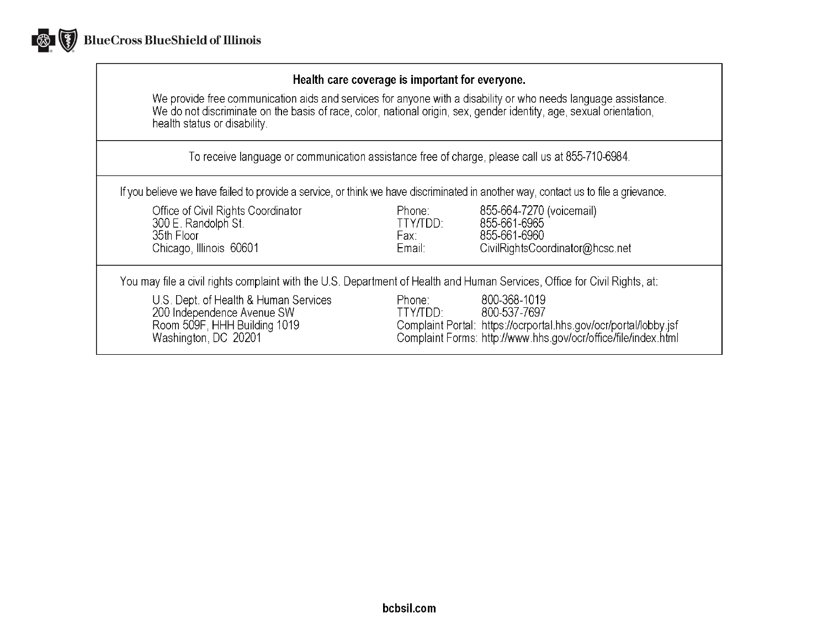

### Health care coverage is important for everyone.

We provide free communication aids and services for anyone with a disability or who needs language assistance.<br>We do not discriminate on the basis of race, color, national origin, sex, gender identity, age, sexual orientat health status or disability.

To receive language or communication assistance free of charge, please call us at 855-710-6984.

If you believe we have failed to provide a service, or think we have discriminated in another way, contact us to file a grievance.

| Office of Civil Rights Coordinator<br>300 E. Randolph St.<br>35th Floor<br>Chicago, Illinois 60601                          | Phone:<br>TTY/TDD:<br>Fax:<br>Email: | 855-664-7270 (voicemail)<br>855-661-6965<br>855-661-6960<br>CivilRightsCoordinator@hcsc.net                                                                        |
|-----------------------------------------------------------------------------------------------------------------------------|--------------------------------------|--------------------------------------------------------------------------------------------------------------------------------------------------------------------|
| You may file a civil rights complaint with the U.S. Department of Health and Human Services, Office for Civil Rights, at:   |                                      |                                                                                                                                                                    |
| U.S. Dept. of Health & Human Services<br>200 Independence Avenue SW<br>Room 509F, HHH Building 1019<br>Washington, DC 20201 | Phone:<br>TTY/TDD:                   | 800-368-1019<br>800-537-7697<br>Complaint Portal: https://ocrportal.hhs.gov/ocr/portal/lobby.jsf<br>Complaint Forms: http://www.hhs.gov/ocr/office/file/index.html |